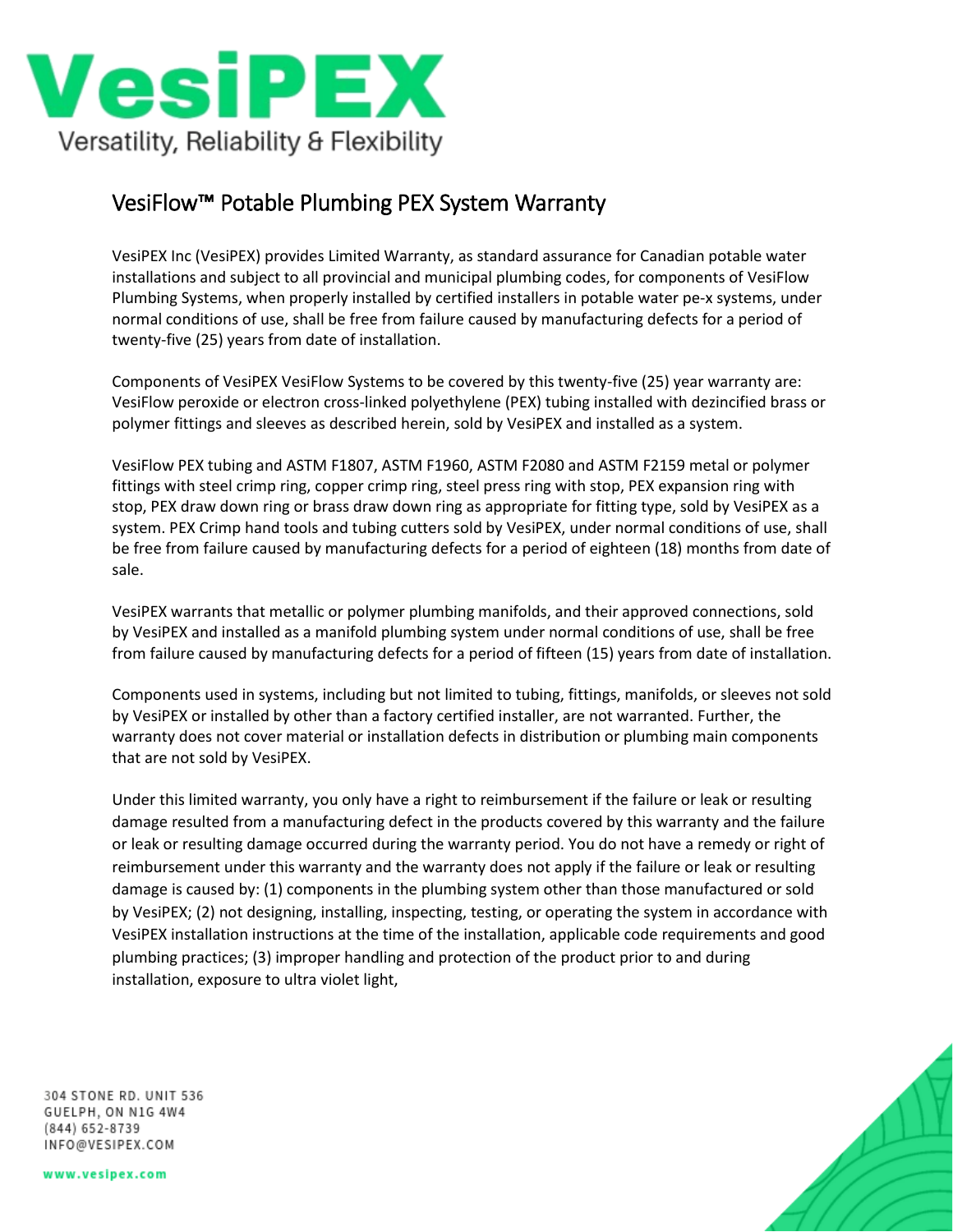

## VesiFlow™ Potable Plumbing PEX System Warranty

VesiPEX Inc (VesiPEX) provides Limited Warranty, as standard assurance for Canadian potable water installations and subject to all provincial and municipal plumbing codes, for components of VesiFlow Plumbing Systems, when properly installed by certified installers in potable water pe-x systems, under normal conditions of use, shall be free from failure caused by manufacturing defects for a period of twenty-five (25) years from date of installation.

Components of VesiPEX VesiFlow Systems to be covered by this twenty-five (25) year warranty are: VesiFlow peroxide or electron cross-linked polyethylene (PEX) tubing installed with dezincified brass or polymer fittings and sleeves as described herein, sold by VesiPEX and installed as a system.

VesiFlow PEX tubing and ASTM F1807, ASTM F1960, ASTM F2080 and ASTM F2159 metal or polymer fittings with steel crimp ring, copper crimp ring, steel press ring with stop, PEX expansion ring with stop, PEX draw down ring or brass draw down ring as appropriate for fitting type, sold by VesiPEX as a system. PEX Crimp hand tools and tubing cutters sold by VesiPEX, under normal conditions of use, shall be free from failure caused by manufacturing defects for a period of eighteen (18) months from date of sale.

VesiPEX warrants that metallic or polymer plumbing manifolds, and their approved connections, sold by VesiPEX and installed as a manifold plumbing system under normal conditions of use, shall be free from failure caused by manufacturing defects for a period of fifteen (15) years from date of installation.

Components used in systems, including but not limited to tubing, fittings, manifolds, or sleeves not sold by VesiPEX or installed by other than a factory certified installer, are not warranted. Further, the warranty does not cover material or installation defects in distribution or plumbing main components that are not sold by VesiPEX.

Under this limited warranty, you only have a right to reimbursement if the failure or leak or resulting damage resulted from a manufacturing defect in the products covered by this warranty and the failure or leak or resulting damage occurred during the warranty period. You do not have a remedy or right of reimbursement under this warranty and the warranty does not apply if the failure or leak or resulting damage is caused by: (1) components in the plumbing system other than those manufactured or sold by VesiPEX; (2) not designing, installing, inspecting, testing, or operating the system in accordance with VesiPEX installation instructions at the time of the installation, applicable code requirements and good plumbing practices; (3) improper handling and protection of the product prior to and during installation, exposure to ultra violet light,

304 STONE RD. UNIT 536 GUELPH, ON N1G 4W4 (844) 652-8739 INFO@VESIPEX.COM

www.vesipex.com